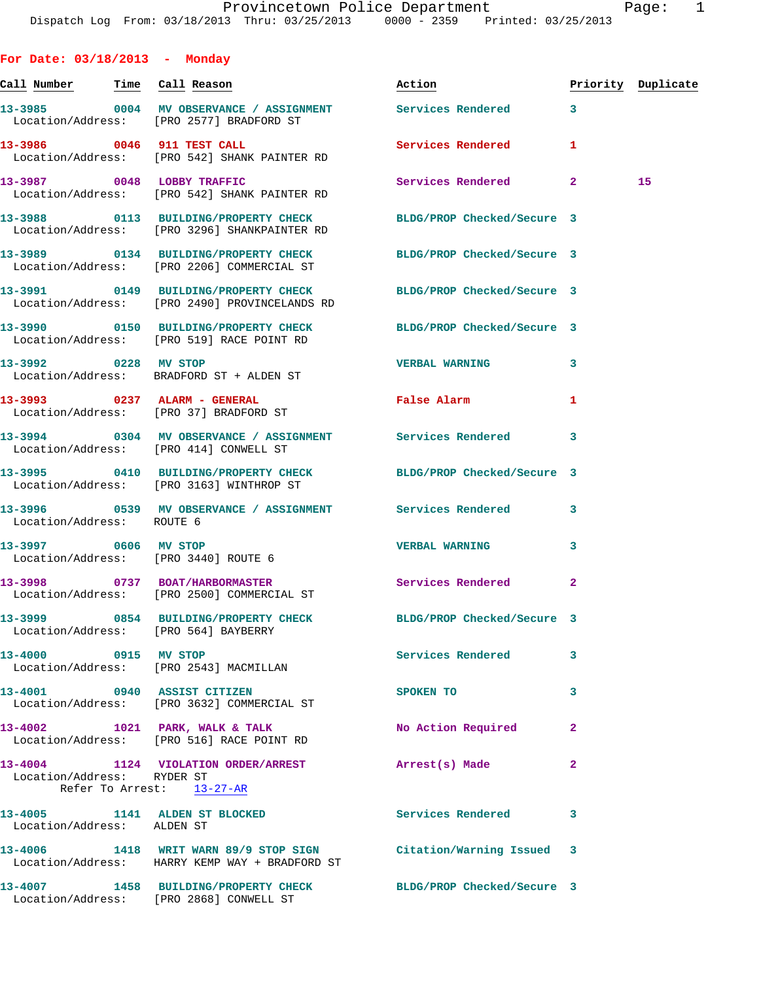**For Date: 03/18/2013 - Monday Call Number Time Call Reason Action Priority Duplicate 13-3985 0004 MV OBSERVANCE / ASSIGNMENT Services Rendered 3**  Location/Address: [PRO 2577] BRADFORD ST **13-3986 0046 911 TEST CALL Services Rendered 1**  Location/Address: [PRO 542] SHANK PAINTER RD **13-3987 0048 LOBBY TRAFFIC Services Rendered 2 15**  Location/Address: [PRO 542] SHANK PAINTER RD **13-3988 0113 BUILDING/PROPERTY CHECK BLDG/PROP Checked/Secure 3**  Location/Address: [PRO 3296] SHANKPAINTER RD **13-3989 0134 BUILDING/PROPERTY CHECK BLDG/PROP Checked/Secure 3**  Location/Address: [PRO 2206] COMMERCIAL ST **13-3991 0149 BUILDING/PROPERTY CHECK BLDG/PROP Checked/Secure 3**  Location/Address: [PRO 2490] PROVINCELANDS RD **13-3990 0150 BUILDING/PROPERTY CHECK BLDG/PROP Checked/Secure 3**  Location/Address: [PRO 519] RACE POINT RD **13-3992 0228 MV STOP VERBAL WARNING 3**  Location/Address: BRADFORD ST + ALDEN ST **13-3993 0237 ALARM - GENERAL False Alarm 1**  Location/Address: [PRO 37] BRADFORD ST **13-3994 0304 MV OBSERVANCE / ASSIGNMENT Services Rendered 3**  Location/Address: [PRO 414] CONWELL ST **13-3995 0410 BUILDING/PROPERTY CHECK BLDG/PROP Checked/Secure 3**  Location/Address: [PRO 3163] WINTHROP ST **13-3996 0539 MV OBSERVANCE / ASSIGNMENT Services Rendered 3**  Location/Address: ROUTE 6 **13-3997 0606 MV STOP VERBAL WARNING 3**  Location/Address: [PRO 3440] ROUTE 6 **13-3998 0737 BOAT/HARBORMASTER Services Rendered 2**  Location/Address: [PRO 2500] COMMERCIAL ST **13-3999 0854 BUILDING/PROPERTY CHECK BLDG/PROP Checked/Secure 3**  Location/Address: [PRO 564] BAYBERRY **13-4000 0915 MV STOP Services Rendered 3**  Location/Address: [PRO 2543] MACMILLAN **13-4001 0940 ASSIST CITIZEN SPOKEN TO 3**  Location/Address: [PRO 3632] COMMERCIAL ST **13-4002 1021 PARK, WALK & TALK No Action Required 2**  Location/Address: [PRO 516] RACE POINT RD **13-4004 1124 VIOLATION ORDER/ARREST Arrest(s) Made 2**  Location/Address: RYDER ST Refer To Arrest: 13-27-AR **13-4005 1141 ALDEN ST BLOCKED Services Rendered 3**  Location/Address: ALDEN ST

**13-4006 1418 WRIT WARN 89/9 STOP SIGN Citation/Warning Issued 3**  Location/Address: HARRY KEMP WAY + BRADFORD ST

**13-4007 1458 BUILDING/PROPERTY CHECK BLDG/PROP Checked/Secure 3**  Location/Address: [PRO 2868] CONWELL ST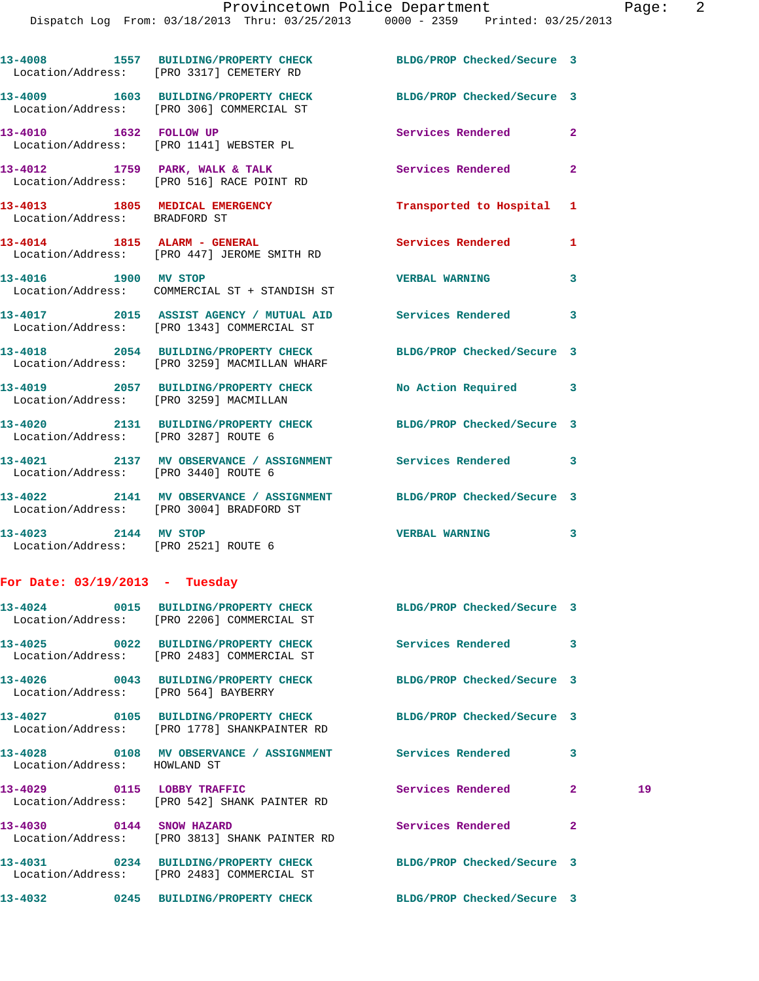Dispatch Log From: 03/18/2013 Thru: 03/25/2013 0000 - 2359 Printed: 03/25/2013

**13-4008 1557 BUILDING/PROPERTY CHECK BLDG/PROP Checked/Secure 3** 

Location/Address: [PRO 3317] CEMETERY RD

**13-4009 1603 BUILDING/PROPERTY CHECK BLDG/PROP Checked/Secure 3**  Location/Address: [PRO 306] COMMERCIAL ST **13-4010 1632 FOLLOW UP Services Rendered 2**  Location/Address: [PRO 1141] WEBSTER PL 13-4012 1759 PARK, WALK & TALK **Services Rendered** 2 Location/Address: [PRO 516] RACE POINT RD **13-4013 1805 MEDICAL EMERGENCY Transported to Hospital 1**  Location/Address: BRADFORD ST **13-4014 1815 ALARM - GENERAL Services Rendered 1**  Location/Address: [PRO 447] JEROME SMITH RD **13-4016 1900 MV STOP VERBAL WARNING 3**  Location/Address: COMMERCIAL ST + STANDISH ST **13-4017 2015 ASSIST AGENCY / MUTUAL AID Services Rendered 3**  Location/Address: [PRO 1343] COMMERCIAL ST **13-4018 2054 BUILDING/PROPERTY CHECK BLDG/PROP Checked/Secure 3**  Location/Address: [PRO 3259] MACMILLAN WHARF **13-4019 2057 BUILDING/PROPERTY CHECK No Action Required 3**  Location/Address: [PRO 3259] MACMILLAN **13-4020 2131 BUILDING/PROPERTY CHECK BLDG/PROP Checked/Secure 3**  Location/Address: [PRO 3287] ROUTE 6 **13-4021 2137 MV OBSERVANCE / ASSIGNMENT Services Rendered 3**  Location/Address: [PRO 3440] ROUTE 6 **13-4022 2141 MV OBSERVANCE / ASSIGNMENT BLDG/PROP Checked/Secure 3**  Location/Address: [PRO 3004] BRADFORD ST **13-4023 2144 MV STOP VERBAL WARNING 3**  Location/Address: [PRO 2521] ROUTE 6 **For Date: 03/19/2013 - Tuesday 13-4024 0015 BUILDING/PROPERTY CHECK BLDG/PROP Checked/Secure 3**  Location/Address: [PRO 2206] COMMERCIAL ST **13-4025 0022 BUILDING/PROPERTY CHECK Services Rendered 3**  Location/Address: [PRO 2483] COMMERCIAL ST **13-4026 0043 BUILDING/PROPERTY CHECK BLDG/PROP Checked/Secure 3**  Location/Address: [PRO 564] BAYBERRY **13-4027 0105 BUILDING/PROPERTY CHECK BLDG/PROP Checked/Secure 3**  Location/Address: [PRO 1778] SHANKPAINTER RD **13-4028 0108 MV OBSERVANCE / ASSIGNMENT Services Rendered 3**  Location/Address: HOWLAND ST **13-4029 0115 LOBBY TRAFFIC Services Rendered 2 19**  Location/Address: [PRO 542] SHANK PAINTER RD **13-4030 0144 SNOW HAZARD Services Rendered 2**  Location/Address: [PRO 3813] SHANK PAINTER RD **13-4031 0234 BUILDING/PROPERTY CHECK BLDG/PROP Checked/Secure 3**  Location/Address: [PRO 2483] COMMERCIAL ST **13-4032 0245 BUILDING/PROPERTY CHECK BLDG/PROP Checked/Secure 3**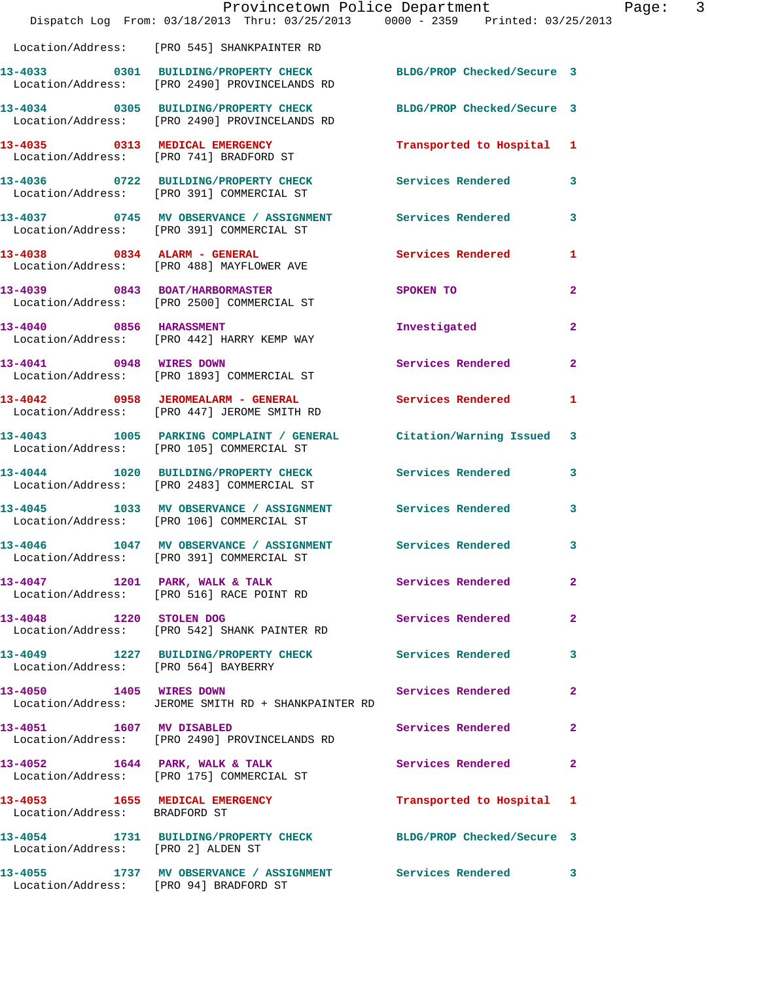|                                        | Dispatch Log From: 03/18/2013 Thru: 03/25/2013 0000 - 2359 Printed: 03/25/2013                                       | Provincetown Police Department |                | Page: 3 |  |
|----------------------------------------|----------------------------------------------------------------------------------------------------------------------|--------------------------------|----------------|---------|--|
|                                        | Location/Address: [PRO 545] SHANKPAINTER RD                                                                          |                                |                |         |  |
|                                        | 13-4033 0301 BUILDING/PROPERTY CHECK BLDG/PROP Checked/Secure 3<br>Location/Address: [PRO 2490] PROVINCELANDS RD     |                                |                |         |  |
|                                        | 13-4034 0305 BUILDING/PROPERTY CHECK<br>Location/Address: [PRO 2490] PROVINCELANDS RD                                | BLDG/PROP Checked/Secure 3     |                |         |  |
|                                        | 13-4035 0313 MEDICAL EMERGENCY<br>Location/Address: [PRO 741] BRADFORD ST                                            | Transported to Hospital 1      |                |         |  |
|                                        | 13-4036      0722   BUILDING/PROPERTY CHECK        Services Rendered<br>Location/Address:   [PRO 391] COMMERCIAL ST  |                                | 3              |         |  |
|                                        | 13-4037      0745   MV OBSERVANCE / ASSIGNMENT       Services Rendered<br>Location/Address:   [PRO 391]COMMERCIAL ST |                                | 3              |         |  |
|                                        | 13-4038 0834 ALARM - GENERAL<br>Location/Address: [PRO 488] MAYFLOWER AVE                                            | Services Rendered              | $\mathbf{1}$   |         |  |
|                                        | 13-4039 0843 BOAT/HARBORMASTER<br>Location/Address: [PRO 2500] COMMERCIAL ST                                         | SPOKEN TO                      | $\mathbf{2}$   |         |  |
|                                        | 13-4040 0856 HARASSMENT<br>Location/Address: [PRO 442] HARRY KEMP WAY                                                | Investigated                   | $\overline{a}$ |         |  |
| 13-4041 0948 WIRES DOWN                | Location/Address: [PRO 1893] COMMERCIAL ST                                                                           | Services Rendered              | $\mathbf{2}$   |         |  |
|                                        | 13-4042 0958 JEROMEALARM - GENERAL<br>Location/Address: [PRO 447] JEROME SMITH RD                                    | <b>Services Rendered</b>       | $\mathbf{1}$   |         |  |
|                                        | 13-4043 1005 PARKING COMPLAINT / GENERAL Citation/Warning Issued 3<br>Location/Address: [PRO 105] COMMERCIAL ST      |                                |                |         |  |
|                                        | 13-4044 1020 BUILDING/PROPERTY CHECK<br>Location/Address: [PRO 2483] COMMERCIAL ST                                   | <b>Services Rendered</b>       | 3              |         |  |
|                                        | 13-4045 1033 MV OBSERVANCE / ASSIGNMENT Services Rendered<br>Location/Address: [PRO 106] COMMERCIAL ST               |                                | 3              |         |  |
| 13-4046                                | 1047 MV OBSERVANCE / ASSIGNMENT Services Rendered<br>Location/Address: [PRO 391] COMMERCIAL ST                       |                                | 3              |         |  |
|                                        | 13-4047 1201 PARK, WALK & TALK Services Rendered<br>Location/Address: [PRO 516] RACE POINT RD                        |                                | $\overline{2}$ |         |  |
|                                        | 13-4048 1220 STOLEN DOG<br>Location/Address: [PRO 542] SHANK PAINTER RD                                              | Services Rendered              | $\mathbf{2}$   |         |  |
| Location/Address: [PRO 564] BAYBERRY   | 13-4049 1227 BUILDING/PROPERTY CHECK Services Rendered                                                               |                                | 3              |         |  |
| 13-4050 1405 WIRES DOWN                | Location/Address: JEROME SMITH RD + SHANKPAINTER RD                                                                  | Services Rendered              | $\overline{a}$ |         |  |
|                                        | 13-4051 1607 MV DISABLED<br>Location/Address: [PRO 2490] PROVINCELANDS RD                                            | Services Rendered              | $\mathbf{2}$   |         |  |
|                                        | 13-4052 1644 PARK, WALK & TALK<br>Location/Address: [PRO 175] COMMERCIAL ST                                          | <b>Services Rendered</b>       | $\mathbf{2}$   |         |  |
| Location/Address: BRADFORD ST          | 13-4053 1655 MEDICAL EMERGENCY                                                                                       | Transported to Hospital 1      |                |         |  |
| Location/Address: [PRO 2] ALDEN ST     | 13-4054 1731 BUILDING/PROPERTY CHECK BLDG/PROP Checked/Secure 3                                                      |                                |                |         |  |
| Location/Address: [PRO 94] BRADFORD ST | 13-4055 1737 MV OBSERVANCE / ASSIGNMENT Services Rendered                                                            |                                | 3              |         |  |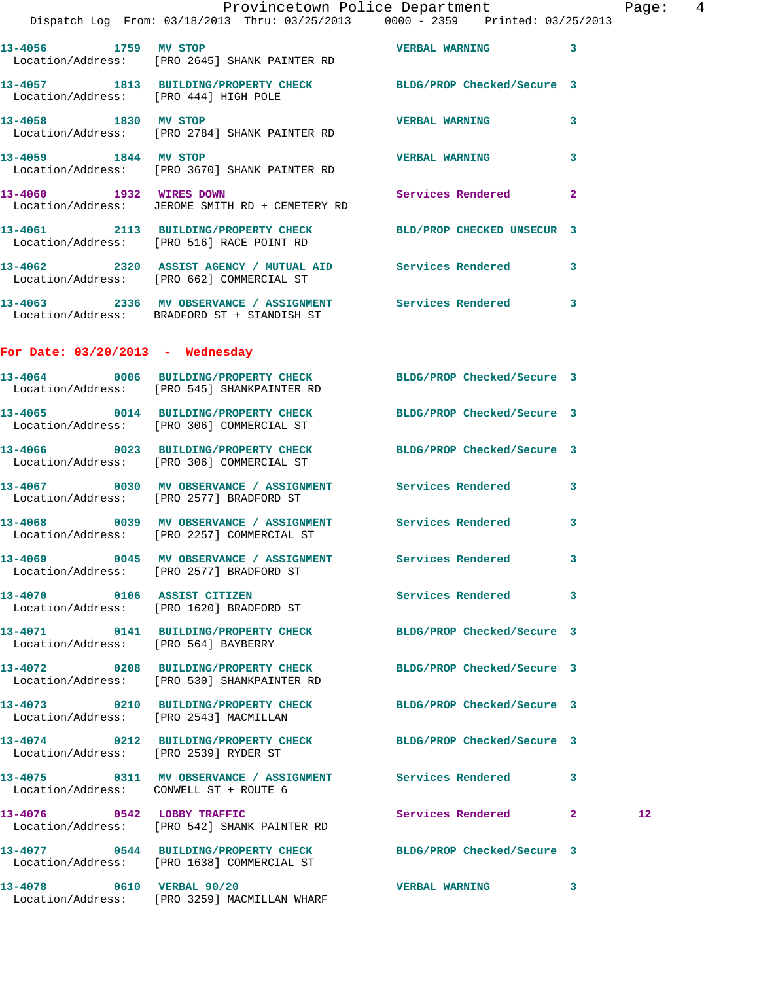**13-4056 1759 MV STOP VERBAL WARNING 3**  Location/Address: [PRO 2645] SHANK PAINTER RD **13-4057 1813 BUILDING/PROPERTY CHECK BLDG/PROP Checked/Secure 3**  Location/Address: [PRO 444] HIGH POLE **13-4058 1830 MV STOP VERBAL WARNING 3**  Location/Address: [PRO 2784] SHANK PAINTER RD **13-4059 1844 MV STOP VERBAL WARNING 3**  Location/Address: [PRO 3670] SHANK PAINTER RD **13-4060 1932 WIRES DOWN Services Rendered 2**  Location/Address: JEROME SMITH RD + CEMETERY RD **13-4061 2113 BUILDING/PROPERTY CHECK BLD/PROP CHECKED UNSECUR 3**  Location/Address: [PRO 516] RACE POINT RD **13-4062 2320 ASSIST AGENCY / MUTUAL AID Services Rendered 3**  Location/Address: [PRO 662] COMMERCIAL ST **13-4063 2336 MV OBSERVANCE / ASSIGNMENT Services Rendered 3**  Location/Address: BRADFORD ST + STANDISH ST **For Date: 03/20/2013 - Wednesday 13-4064 0006 BUILDING/PROPERTY CHECK BLDG/PROP Checked/Secure 3**  Location/Address: [PRO 545] SHANKPAINTER RD **13-4065 0014 BUILDING/PROPERTY CHECK BLDG/PROP Checked/Secure 3**  Location/Address: [PRO 306] COMMERCIAL ST **13-4066 0023 BUILDING/PROPERTY CHECK BLDG/PROP Checked/Secure 3**  Location/Address: [PRO 306] COMMERCIAL ST **13-4067 0030 MV OBSERVANCE / ASSIGNMENT Services Rendered 3**  Location/Address: [PRO 2577] BRADFORD ST **13-4068 0039 MV OBSERVANCE / ASSIGNMENT Services Rendered 3**  Location/Address: [PRO 2257] COMMERCIAL ST **13-4069 0045 MV OBSERVANCE / ASSIGNMENT Services Rendered 3**  Location/Address: [PRO 2577] BRADFORD ST **13-4070 0106 ASSIST CITIZEN Services Rendered 3**  Location/Address: [PRO 1620] BRADFORD ST **13-4071 0141 BUILDING/PROPERTY CHECK BLDG/PROP Checked/Secure 3**  Location/Address: [PRO 564] BAYBERRY **13-4072 0208 BUILDING/PROPERTY CHECK BLDG/PROP Checked/Secure 3**  Location/Address: [PRO 530] SHANKPAINTER RD **13-4073 0210 BUILDING/PROPERTY CHECK BLDG/PROP Checked/Secure 3**  Location/Address: [PRO 2543] MACMILLAN **13-4074 0212 BUILDING/PROPERTY CHECK BLDG/PROP Checked/Secure 3**  Location/Address: [PRO 2539] RYDER ST **13-4075 0311 MV OBSERVANCE / ASSIGNMENT Services Rendered 3**  Location/Address: CONWELL ST + ROUTE 6 **13-4076 0542 LOBBY TRAFFIC Services Rendered 2 12**  Location/Address: [PRO 542] SHANK PAINTER RD **13-4077 0544 BUILDING/PROPERTY CHECK BLDG/PROP Checked/Secure 3**  Location/Address: [PRO 1638] COMMERCIAL ST **13-4078 0610 VERBAL 90/20 VERBAL WARNING 3** 

Location/Address: [PRO 3259] MACMILLAN WHARF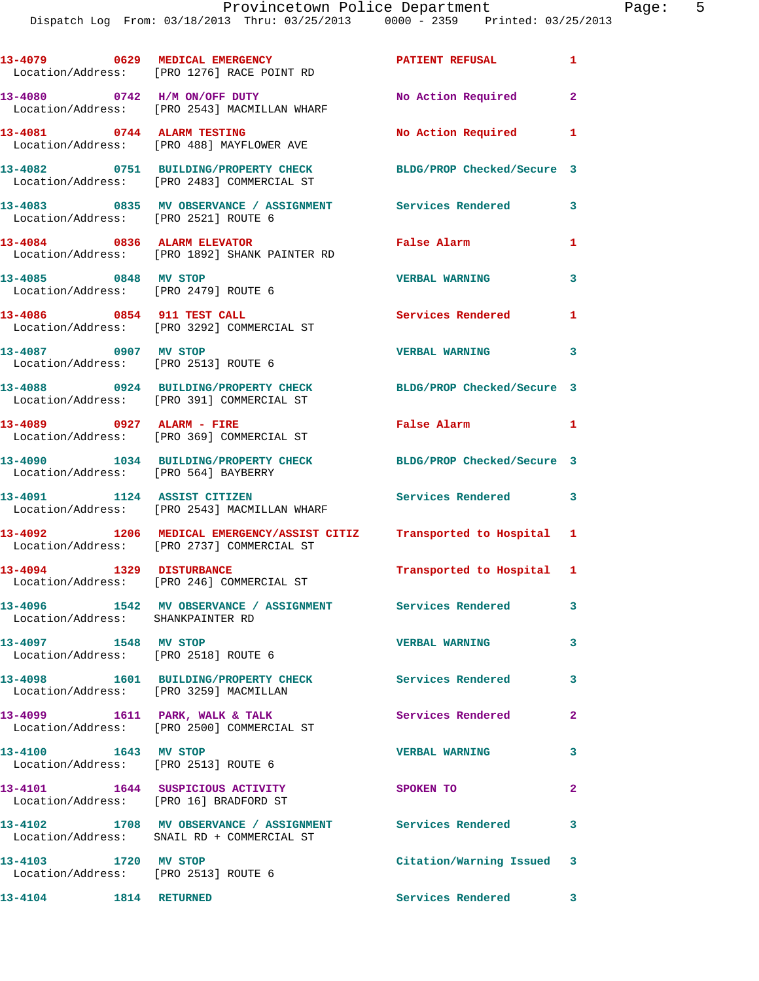|                                                                 | 13-4079 0629 MEDICAL EMERGENCY<br>Location/Address: [PRO 1276] RACE POINT RD                                        | <b>PATIENT REFUSAL</b>     | $\mathbf{1}$            |
|-----------------------------------------------------------------|---------------------------------------------------------------------------------------------------------------------|----------------------------|-------------------------|
|                                                                 | 13-4080 0742 H/M ON/OFF DUTY<br>Location/Address: [PRO 2543] MACMILLAN WHARF                                        | No Action Required         | $\mathbf{2}$            |
| 13-4081 0744 ALARM TESTING                                      | Location/Address: [PRO 488] MAYFLOWER AVE                                                                           | No Action Required         | 1                       |
|                                                                 | 13-4082 0751 BUILDING/PROPERTY CHECK<br>Location/Address: [PRO 2483] COMMERCIAL ST                                  | BLDG/PROP Checked/Secure 3 |                         |
|                                                                 |                                                                                                                     |                            | 3                       |
| 13-4084 0836 ALARM ELEVATOR                                     | Location/Address: [PRO 1892] SHANK PAINTER RD                                                                       | False Alarm                | 1                       |
| 13-4085 0848 MV STOP                                            | Location/Address: [PRO 2479] ROUTE 6                                                                                | <b>VERBAL WARNING</b>      | 3                       |
| 13-4086 0854 911 TEST CALL                                      | Location/Address: [PRO 3292] COMMERCIAL ST                                                                          | Services Rendered          | 1                       |
| 13-4087 0907 MV STOP<br>Location/Address: [PRO 2513] ROUTE 6    |                                                                                                                     | <b>VERBAL WARNING</b>      | $\overline{\mathbf{3}}$ |
|                                                                 | 13-4088 0924 BUILDING/PROPERTY CHECK<br>Location/Address: [PRO 391] COMMERCIAL ST                                   | BLDG/PROP Checked/Secure 3 |                         |
| 13-4089 0927 ALARM - FIRE                                       | Location/Address: [PRO 369] COMMERCIAL ST                                                                           | False Alarm                | $\blacksquare$          |
| Location/Address: [PRO 564] BAYBERRY                            | 13-4090 1034 BUILDING/PROPERTY CHECK                                                                                | BLDG/PROP Checked/Secure 3 |                         |
| 13-4091 1124 ASSIST CITIZEN                                     | Location/Address: [PRO 2543] MACMILLAN WHARF                                                                        | Services Rendered 3        |                         |
|                                                                 | 13-4092 1206 MEDICAL EMERGENCY/ASSIST CITIZ Transported to Hospital 1<br>Location/Address: [PRO 2737] COMMERCIAL ST |                            |                         |
| 13-4094 1329 DISTURBANCE                                        | Location/Address: [PRO 246] COMMERCIAL ST                                                                           | Transported to Hospital 1  |                         |
| Location/Address: SHANKPAINTER RD                               | 13-4096   1542 MV OBSERVANCE / ASSIGNMENT   Services Rendered                                                       |                            | 3                       |
| 1548 MV STOP<br>13-4097<br>Location/Address: [PRO 2518] ROUTE 6 |                                                                                                                     | <b>VERBAL WARNING</b>      | 3                       |
| Location/Address: [PRO 3259] MACMILLAN                          | 13-4098 1601 BUILDING/PROPERTY CHECK                                                                                | Services Rendered          | 3                       |
|                                                                 | 13-4099 1611 PARK, WALK & TALK<br>Location/Address: [PRO 2500] COMMERCIAL ST                                        | Services Rendered          | $\mathbf{2}$            |
| 13-4100 1643 MV STOP<br>Location/Address: [PRO 2513] ROUTE 6    |                                                                                                                     | <b>VERBAL WARNING</b>      | 3                       |
| Location/Address: [PRO 16] BRADFORD ST                          | 13-4101 1644 SUSPICIOUS ACTIVITY                                                                                    | SPOKEN TO                  | $\overline{2}$          |
|                                                                 | 13-4102 1708 MV OBSERVANCE / ASSIGNMENT Services Rendered<br>Location/Address: SNAIL RD + COMMERCIAL ST             |                            | 3                       |
| 13-4103 1720 MV STOP<br>Location/Address: [PRO 2513] ROUTE 6    |                                                                                                                     | Citation/Warning Issued 3  |                         |
| 13-4104   1814   RETURNED                                       |                                                                                                                     | Services Rendered 3        |                         |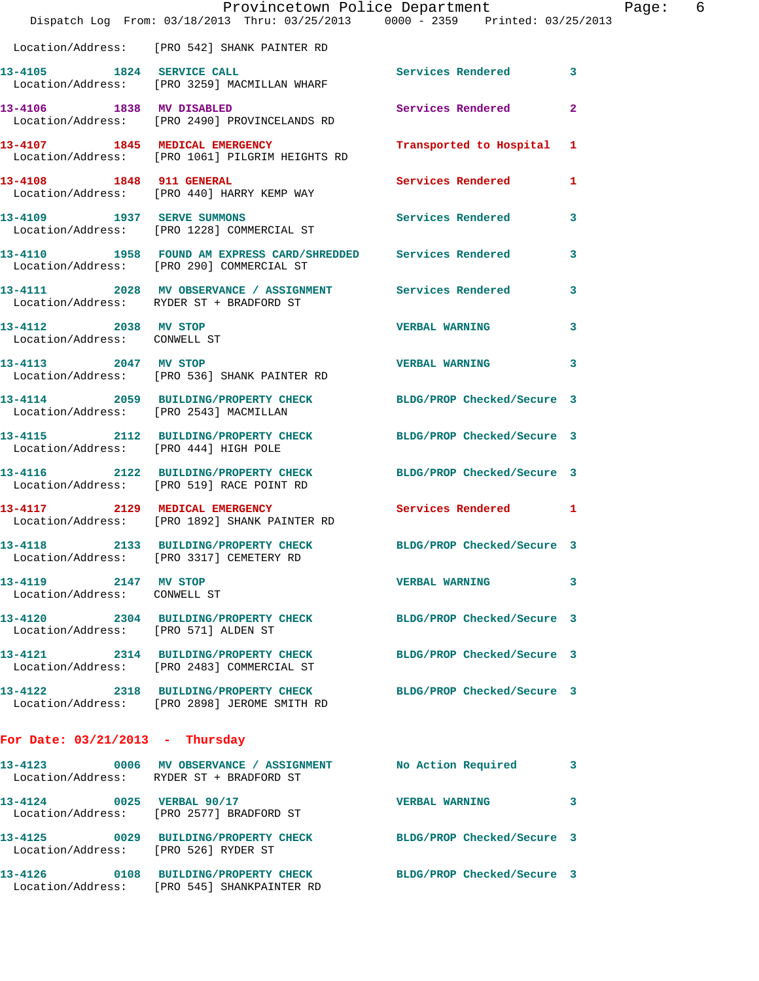|                                                      | Dispatch Log From: 03/18/2013 Thru: 03/25/2013 0000 - 2359 Printed: 03/25/2013                                  | Provincetown Police Department |              | Page: 6 |  |
|------------------------------------------------------|-----------------------------------------------------------------------------------------------------------------|--------------------------------|--------------|---------|--|
|                                                      | Location/Address: [PRO 542] SHANK PAINTER RD                                                                    |                                |              |         |  |
|                                                      | 13-4105 1824 SERVICE CALL<br>Location/Address: [PRO 3259] MACMILLAN WHARF                                       | Services Rendered 3            |              |         |  |
|                                                      | 13-4106 1838 MV DISABLED<br>Location/Address: [PRO 2490] PROVINCELANDS RD                                       | Services Rendered              | $\mathbf{2}$ |         |  |
|                                                      | 13-4107 1845 MEDICAL EMERGENCY<br>Location/Address: [PRO 1061] PILGRIM HEIGHTS RD                               | Transported to Hospital 1      |              |         |  |
|                                                      | 13-4108 1848 911 GENERAL<br>Location/Address: [PRO 440] HARRY KEMP WAY                                          | Services Rendered 1            |              |         |  |
| 13-4109 1937 SERVE SUMMONS                           | Location/Address: [PRO 1228] COMMERCIAL ST                                                                      | Services Rendered 3            |              |         |  |
|                                                      | 13-4110 1958 FOUND AM EXPRESS CARD/SHREDDED Services Rendered<br>Location/Address: [PRO 290] COMMERCIAL ST      |                                | $\mathbf{3}$ |         |  |
|                                                      | 13-4111 2028 MV OBSERVANCE / ASSIGNMENT Services Rendered<br>Location/Address: RYDER ST + BRADFORD ST           |                                | 3            |         |  |
| 13-4112 2038 MV STOP<br>Location/Address: CONWELL ST |                                                                                                                 | <b>VERBAL WARNING</b>          | $\mathbf{3}$ |         |  |
|                                                      | 13-4113 2047 MV STOP<br>Location/Address: [PRO 536] SHANK PAINTER RD                                            | <b>VERBAL WARNING</b>          | 3            |         |  |
|                                                      | 13-4114 2059 BUILDING/PROPERTY CHECK BLDG/PROP Checked/Secure 3<br>Location/Address: [PRO 2543] MACMILLAN       |                                |              |         |  |
| Location/Address: [PRO 444] HIGH POLE                | 13-4115 2112 BUILDING/PROPERTY CHECK BLDG/PROP Checked/Secure 3                                                 |                                |              |         |  |
|                                                      | 13-4116 2122 BUILDING/PROPERTY CHECK BLDG/PROP Checked/Secure 3<br>Location/Address: [PRO 519] RACE POINT RD    |                                |              |         |  |
|                                                      | 13-4117 2129 MEDICAL EMERGENCY<br>Location/Address: [PRO 1892] SHANK PAINTER RD                                 | Services Rendered 1            |              |         |  |
| 13-4118                                              | 2133 BUILDING/PROPERTY CHECK BLDG/PROP Checked/Secure 3<br>Location/Address: [PRO 3317] CEMETERY RD             |                                |              |         |  |
| 13-4119 2147 MV STOP<br>Location/Address: CONWELL ST |                                                                                                                 | <b>VERBAL WARNING</b>          | 3            |         |  |
| Location/Address: [PRO 571] ALDEN ST                 | 13-4120 2304 BUILDING/PROPERTY CHECK BLDG/PROP Checked/Secure 3                                                 |                                |              |         |  |
|                                                      | 13-4121 2314 BUILDING/PROPERTY CHECK BLDG/PROP Checked/Secure 3<br>Location/Address: [PRO 2483] COMMERCIAL ST   |                                |              |         |  |
|                                                      | 13-4122 2318 BUILDING/PROPERTY CHECK BLDG/PROP Checked/Secure 3<br>Location/Address: [PRO 2898] JEROME SMITH RD |                                |              |         |  |
| For Date: $03/21/2013$ - Thursday                    |                                                                                                                 |                                |              |         |  |
|                                                      | 13-4123 0006 MV OBSERVANCE / ASSIGNMENT<br>Location/Address: RYDER ST + BRADFORD ST                             | No Action Required 3           |              |         |  |
|                                                      | 13-4124 0025 VERBAL 90/17<br>Location/Address: [PRO 2577] BRADFORD ST                                           | <b>VERBAL WARNING</b>          | 3            |         |  |
| Location/Address: [PRO 526] RYDER ST                 | 13-4125 0029 BUILDING/PROPERTY CHECK BLDG/PROP Checked/Secure 3                                                 |                                |              |         |  |
|                                                      | 13-4126 0108 BUILDING/PROPERTY CHECK<br>Location/Address: [PRO 545] SHANKPAINTER RD                             | BLDG/PROP Checked/Secure 3     |              |         |  |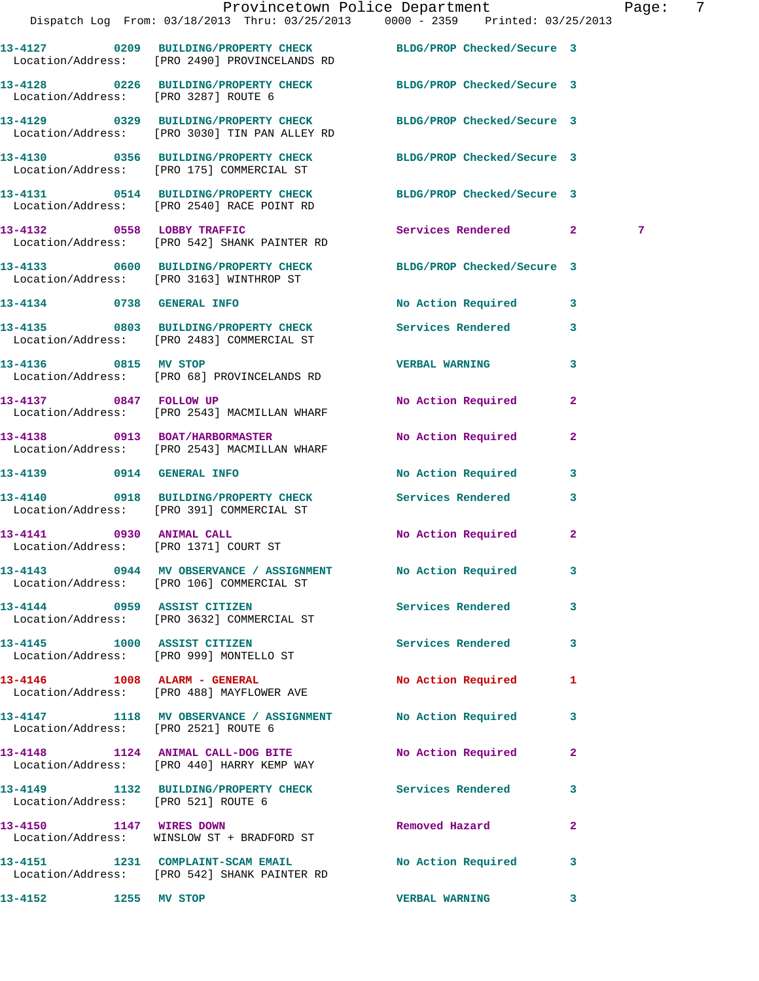|                                      |                                                                                                                  | Provincetown Police Department | 7<br>Page:   |
|--------------------------------------|------------------------------------------------------------------------------------------------------------------|--------------------------------|--------------|
|                                      | Dispatch Log From: 03/18/2013 Thru: 03/25/2013 0000 - 2359 Printed: 03/25/2013                                   |                                |              |
|                                      | 13-4127 0209 BUILDING/PROPERTY CHECK BLDG/PROP Checked/Secure 3<br>Location/Address: [PRO 2490] PROVINCELANDS RD |                                |              |
| Location/Address: [PRO 3287] ROUTE 6 | 13-4128 0226 BUILDING/PROPERTY CHECK BLDG/PROP Checked/Secure 3                                                  |                                |              |
|                                      | 13-4129 0329 BUILDING/PROPERTY CHECK BLDG/PROP Checked/Secure 3<br>Location/Address: [PRO 3030] TIN PAN ALLEY RD |                                |              |
|                                      | 13-4130 0356 BUILDING/PROPERTY CHECK BLDG/PROP Checked/Secure 3<br>Location/Address: [PRO 175] COMMERCIAL ST     |                                |              |
|                                      | 13-4131 0514 BUILDING/PROPERTY CHECK BLDG/PROP Checked/Secure 3<br>Location/Address: [PRO 2540] RACE POINT RD    |                                |              |
|                                      | 13-4132 0558 LOBBY TRAFFIC<br>Location/Address: [PRO 542] SHANK PAINTER RD                                       | Services Rendered 2            | 7            |
|                                      | 13-4133 0600 BUILDING/PROPERTY CHECK<br>Location/Address: [PRO 3163] WINTHROP ST                                 | BLDG/PROP Checked/Secure 3     |              |
|                                      | 13-4134 0738 GENERAL INFO                                                                                        | No Action Required 3           |              |
|                                      | 13-4135 0803 BUILDING/PROPERTY CHECK<br>Location/Address: [PRO 2483] COMMERCIAL ST                               | <b>Services Rendered</b>       | $\mathbf{3}$ |
|                                      | 13-4136 0815 MV STOP<br>Location/Address: [PRO 68] PROVINCELANDS RD                                              | <b>VERBAL WARNING</b>          | 3            |
|                                      | 13-4137 0847 FOLLOW UP<br>Location/Address: [PRO 2543] MACMILLAN WHARF                                           | No Action Required             | $\mathbf{2}$ |
|                                      | 13-4138 0913 BOAT/HARBORMASTER<br>Location/Address: [PRO 2543] MACMILLAN WHARF                                   | No Action Required             | $\mathbf{2}$ |
|                                      | 13-4139 0914 GENERAL INFO                                                                                        | No Action Required 3           |              |
|                                      | 13-4140 0918 BUILDING/PROPERTY CHECK<br>Location/Address: [PRO 391] COMMERCIAL ST                                | Services Rendered              | $\mathbf{3}$ |
|                                      | 13-4141 0930 ANIMAL CALL<br>Location/Address: [PRO 1371] COURT ST                                                | No Action Required 2           |              |
|                                      | 13-4143 0944 MV OBSERVANCE / ASSIGNMENT No Action Required 3<br>Location/Address: [PRO 106] COMMERCIAL ST        |                                |              |
|                                      | 13-4144 0959 ASSIST CITIZEN<br>Location/Address: [PRO 3632] COMMERCIAL ST                                        | <b>Services Rendered</b>       | $\mathbf{3}$ |
|                                      | 13-4145 1000 ASSIST CITIZEN<br>Location/Address: [PRO 999] MONTELLO ST                                           | Services Rendered 3            |              |
|                                      | 13-4146 1008 ALARM - GENERAL<br>Location/Address: [PRO 488] MAYFLOWER AVE                                        | No Action Required             | $\mathbf{1}$ |
| Location/Address: [PRO 2521] ROUTE 6 | 13-4147 1118 MV OBSERVANCE / ASSIGNMENT No Action Required 3                                                     |                                |              |
|                                      | 13-4148 1124 ANIMAL CALL-DOG BITE<br>Location/Address: [PRO 440] HARRY KEMP WAY                                  | No Action Required             | $\mathbf{2}$ |
| Location/Address: [PRO 521] ROUTE 6  | 13-4149 1132 BUILDING/PROPERTY CHECK Services Rendered                                                           |                                | 3            |
|                                      | 13-4150 1147 WIRES DOWN<br>Location/Address: WINSLOW ST + BRADFORD ST                                            | Removed Hazard                 | $\mathbf{2}$ |
|                                      | 13-4151 1231 COMPLAINT-SCAM EMAIL<br>Location/Address: [PRO 542] SHANK PAINTER RD                                | No Action Required             | 3            |
| 13-4152<br>1255 MV STOP              |                                                                                                                  | <b>VERBAL WARNING</b>          | 3            |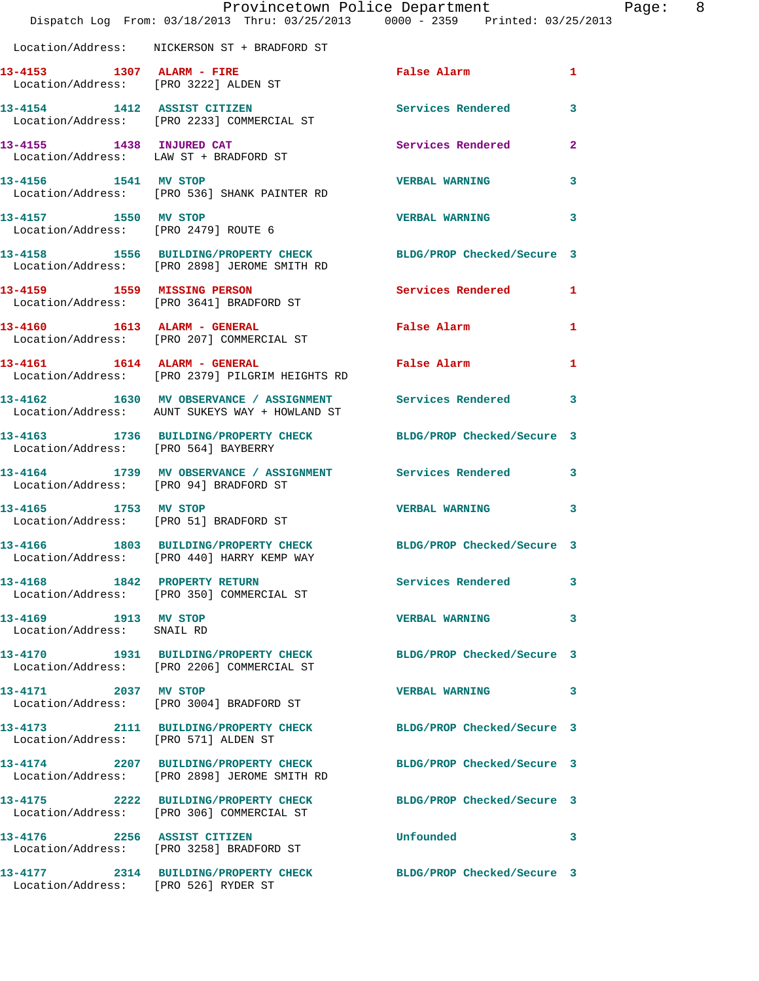|                                                    | Dispatch Log From: 03/18/2013 Thru: 03/25/2013 0000 - 2359 Printed: 03/25/2013                                  | Provincetown Police Department | Page: 8        |  |
|----------------------------------------------------|-----------------------------------------------------------------------------------------------------------------|--------------------------------|----------------|--|
|                                                    | Location/Address: NICKERSON ST + BRADFORD ST                                                                    |                                |                |  |
|                                                    | 13-4153 1307 ALARM - FIRE<br>Location/Address: [PRO 3222] ALDEN ST                                              | <b>False Alarm</b>             | $\mathbf{1}$   |  |
|                                                    | 13-4154 1412 ASSIST CITIZEN<br>Location/Address: [PRO 2233] COMMERCIAL ST                                       | Services Rendered 3            |                |  |
|                                                    | 13-4155 1438 INJURED CAT<br>Location/Address: LAW ST + BRADFORD ST                                              | <b>Services Rendered</b>       | $\overline{2}$ |  |
|                                                    | 13-4156 1541 MV STOP<br>Location/Address: [PRO 536] SHANK PAINTER RD                                            | <b>VERBAL WARNING</b>          | 3              |  |
| 13-4157 1550 MV STOP                               | Location/Address: [PRO 2479] ROUTE 6                                                                            | VERBAL WARNING 3               |                |  |
|                                                    | 13-4158 1556 BUILDING/PROPERTY CHECK BLDG/PROP Checked/Secure 3<br>Location/Address: [PRO 2898] JEROME SMITH RD |                                |                |  |
|                                                    | 13-4159 1559 MISSING PERSON<br>Location/Address: [PRO 3641] BRADFORD ST                                         | Services Rendered 1            |                |  |
|                                                    | 13-4160 1613 ALARM - GENERAL<br>Location/Address: [PRO 207] COMMERCIAL ST                                       | False Alarm <b>Execute 19</b>  | $\mathbf{1}$   |  |
| 13-4161 1614 ALARM - GENERAL                       | Location/Address: [PRO 2379] PILGRIM HEIGHTS RD                                                                 | <b>False Alarm</b>             | $\mathbf{1}$   |  |
|                                                    | 13-4162 1630 MV OBSERVANCE / ASSIGNMENT Services Rendered 3<br>Location/Address: AUNT SUKEYS WAY + HOWLAND ST   |                                |                |  |
| Location/Address: [PRO 564] BAYBERRY               | 13-4163 1736 BUILDING/PROPERTY CHECK BLDG/PROP Checked/Secure 3                                                 |                                |                |  |
| Location/Address: [PRO 94] BRADFORD ST             | 13-4164 1739 MV OBSERVANCE / ASSIGNMENT Services Rendered 3                                                     |                                |                |  |
| 13-4165 1753 MV STOP                               | Location/Address: [PRO 51] BRADFORD ST                                                                          | <b>VERBAL WARNING</b>          | $\mathbf{3}$   |  |
|                                                    | 13-4166 1803 BUILDING/PROPERTY CHECK BLDG/PROP Checked/Secure 3<br>Location/Address: [PRO 440] HARRY KEMP WAY   |                                |                |  |
|                                                    | 13-4168 1842 PROPERTY RETURN<br>Location/Address: [PRO 350] COMMERCIAL ST                                       | <b>Services Rendered</b> 3     |                |  |
| 13-4169 1913 MV STOP<br>Location/Address: SNAIL RD |                                                                                                                 | VERBAL WARNING 3               |                |  |
|                                                    | 13-4170 1931 BUILDING/PROPERTY CHECK BLDG/PROP Checked/Secure 3<br>Location/Address: [PRO 2206] COMMERCIAL ST   |                                |                |  |
|                                                    | 13-4171 2037 MV STOP<br>Location/Address: [PRO 3004] BRADFORD ST                                                | VERBAL WARNING 3               |                |  |
| Location/Address: [PRO 571] ALDEN ST               | 13-4173 2111 BUILDING/PROPERTY CHECK BLDG/PROP Checked/Secure 3                                                 |                                |                |  |
|                                                    | 13-4174 2207 BUILDING/PROPERTY CHECK BLDG/PROP Checked/Secure 3<br>Location/Address: [PRO 2898] JEROME SMITH RD |                                |                |  |
|                                                    | 13-4175 2222 BUILDING/PROPERTY CHECK BLDG/PROP Checked/Secure 3<br>Location/Address: [PRO 306] COMMERCIAL ST    |                                |                |  |
|                                                    | 13-4176 2256 ASSIST CITIZEN<br>Location/Address: [PRO 3258] BRADFORD ST                                         | Unfounded                      | 3              |  |
| Location/Address: [PRO 526] RYDER ST               | 13-4177 2314 BUILDING/PROPERTY CHECK BLDG/PROP Checked/Secure 3                                                 |                                |                |  |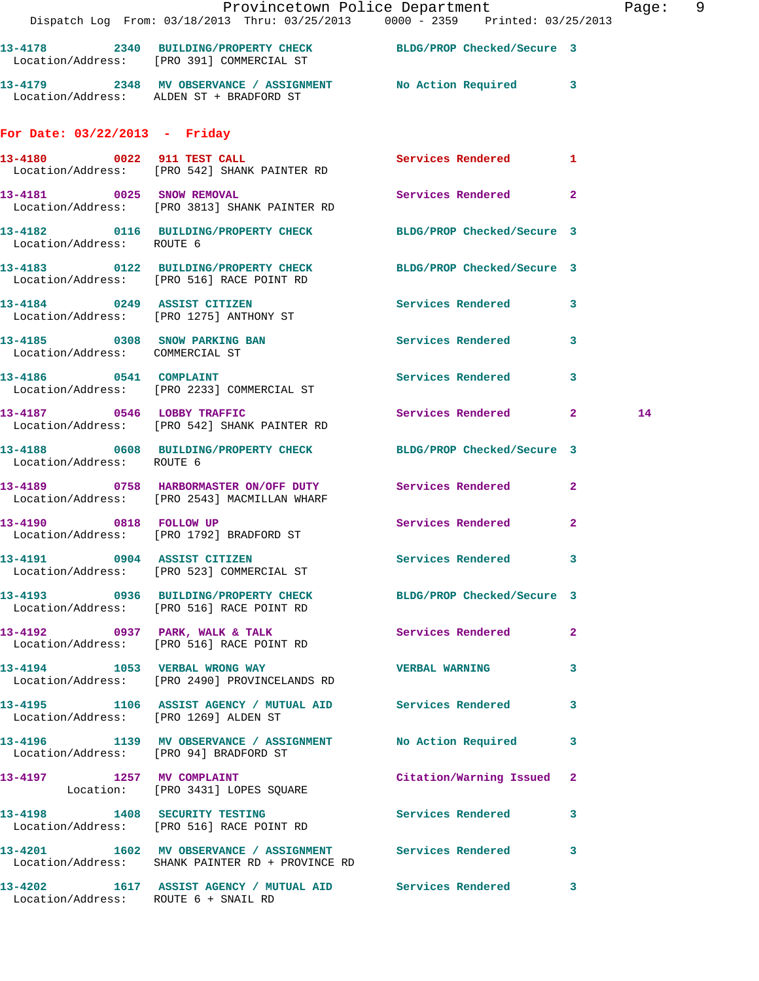| <b>Contract</b>                       | Provincetown Police Department<br>Dispatch Log From: 03/18/2013 Thru: 03/25/2013 0000 - 2359 Printed: 03/25/2013 |                           | Page: 9 |  |
|---------------------------------------|------------------------------------------------------------------------------------------------------------------|---------------------------|---------|--|
|                                       | 13-4178 2340 BUILDING/PROPERTY CHECK BLDG/PROP Checked/Secure 3<br>Location/Address: [PRO 391] COMMERCIAL ST     |                           |         |  |
|                                       | 13-4179 2348 MV OBSERVANCE / ASSIGNMENT No Action Required 3<br>Location/Address: ALDEN ST + BRADFORD ST         |                           |         |  |
| For Date: 03/22/2013 - Friday         |                                                                                                                  |                           |         |  |
|                                       | 13-4180 0022 911 TEST CALL<br>Location/Address: [PRO 542] SHANK PAINTER RD                                       | Services Rendered 1       |         |  |
|                                       | 13-4181 0025 SNOW REMOVAL<br>Location/Address: [PRO 3813] SHANK PAINTER RD                                       | Services Rendered 2       |         |  |
| Location/Address: ROUTE 6             | 13-4182 0116 BUILDING/PROPERTY CHECK BLDG/PROP Checked/Secure 3                                                  |                           |         |  |
|                                       | 13-4183 0122 BUILDING/PROPERTY CHECK BLDG/PROP Checked/Secure 3<br>Location/Address: [PRO 516] RACE POINT RD     |                           |         |  |
|                                       | 13-4184 0249 ASSIST CITIZEN<br>Location/Address: [PRO 1275] ANTHONY ST                                           | Services Rendered 3       |         |  |
| Location/Address: COMMERCIAL ST       | 13-4185 0308 SNOW PARKING BAN Services Rendered 3                                                                |                           |         |  |
|                                       | 13-4186 0541 COMPLAINT<br>Location/Address: [PRO 2233] COMMERCIAL ST                                             | Services Rendered 3       |         |  |
|                                       | 13-4187 0546 LOBBY TRAFFIC<br>Location/Address: [PRO 542] SHANK PAINTER RD                                       | Services Rendered 2       | 14      |  |
| Location/Address: ROUTE 6             | 13-4188 0608 BUILDING/PROPERTY CHECK BLDG/PROP Checked/Secure 3                                                  |                           |         |  |
|                                       | 13-4189 0758 HARBORMASTER ON/OFF DUTY Services Rendered 2<br>Location/Address: [PRO 2543] MACMILLAN WHARF        |                           |         |  |
|                                       | 13-4190 0818 FOLLOW UP<br>Location/Address: [PRO 1792] BRADFORD ST                                               | Services Rendered 2       |         |  |
|                                       | 13-4191 0904 ASSIST CITIZEN<br>Location/Address: [PRO 523] COMMERCIAL ST                                         | Services Rendered 3       |         |  |
|                                       | 13-4193 0936 BUILDING/PROPERTY CHECK BLDG/PROP Checked/Secure 3<br>Location/Address: [PRO 516] RACE POINT RD     |                           |         |  |
|                                       | 13-4192 0937 PARK, WALK & TALK 3 Services Rendered 2<br>Location/Address: [PRO 516] RACE POINT RD                |                           |         |  |
|                                       | 13-4194 1053 VERBAL WRONG WAY WERBAL WARNING 3<br>Location/Address: [PRO 2490] PROVINCELANDS RD                  |                           |         |  |
| Location/Address: [PRO 1269] ALDEN ST | 13-4195 1106 ASSIST AGENCY / MUTUAL AID Services Rendered 3                                                      |                           |         |  |
|                                       | 13-4196 1139 MV OBSERVANCE / ASSIGNMENT No Action Required 3<br>Location/Address: [PRO 94] BRADFORD ST           |                           |         |  |
|                                       | 13-4197 1257 MV COMPLAINT<br>Location: [PRO 3431] LOPES SQUARE                                                   | Citation/Warning Issued 2 |         |  |
|                                       | 13-4198 1408 SECURITY TESTING<br>Location/Address: [PRO 516] RACE POINT RD                                       | Services Rendered 3       |         |  |
|                                       | 13-4201 1602 MV OBSERVANCE / ASSIGNMENT Services Rendered 3<br>Location/Address: SHANK PAINTER RD + PROVINCE RD  |                           |         |  |
| Location/Address: ROUTE 6 + SNAIL RD  | 13-4202 1617 ASSIST AGENCY / MUTUAL AID Services Rendered 3                                                      |                           |         |  |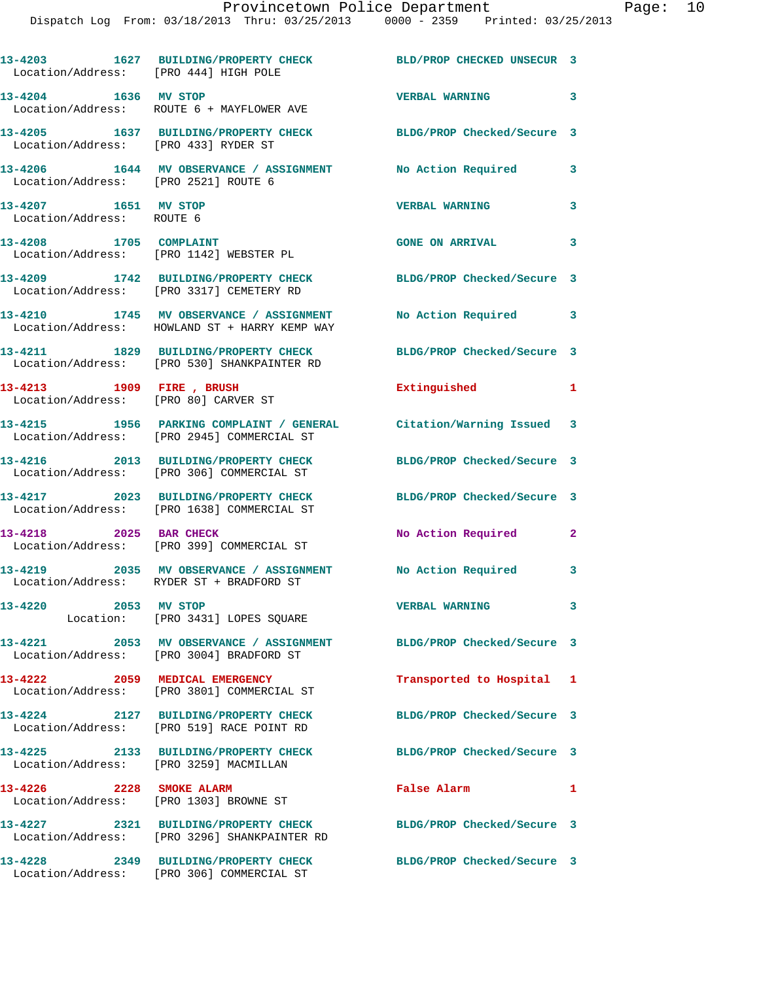| Location/Address: [PRO 444] HIGH POLE             | 13-4203 1627 BUILDING/PROPERTY CHECK BLD/PROP CHECKED UNSECUR 3                                                  |                            |              |
|---------------------------------------------------|------------------------------------------------------------------------------------------------------------------|----------------------------|--------------|
| 13-4204 1636 MV STOP                              | Location/Address: ROUTE 6 + MAYFLOWER AVE                                                                        | <b>VERBAL WARNING</b>      | 3            |
| Location/Address: [PRO 433] RYDER ST              | 13-4205 1637 BUILDING/PROPERTY CHECK BLDG/PROP Checked/Secure 3                                                  |                            |              |
| Location/Address: [PRO 2521] ROUTE 6              | 13-4206 1644 MV OBSERVANCE / ASSIGNMENT No Action Required                                                       |                            | 3            |
| 13-4207 1651 MV STOP<br>Location/Address: ROUTE 6 |                                                                                                                  | <b>VERBAL WARNING</b>      | 3            |
| 13-4208 1705 COMPLAINT                            | Location/Address: [PRO 1142] WEBSTER PL                                                                          | <b>GONE ON ARRIVAL</b>     | 3            |
|                                                   | 13-4209 1742 BUILDING/PROPERTY CHECK<br>Location/Address: [PRO 3317] CEMETERY RD                                 | BLDG/PROP Checked/Secure 3 |              |
|                                                   | 13-4210 1745 MV OBSERVANCE / ASSIGNMENT No Action Required 3<br>Location/Address: HOWLAND ST + HARRY KEMP WAY    |                            |              |
|                                                   | 13-4211 1829 BUILDING/PROPERTY CHECK<br>Location/Address: [PRO 530] SHANKPAINTER RD                              | BLDG/PROP Checked/Secure 3 |              |
| 13-4213 1909 FIRE , BRUSH                         | Location/Address: [PRO 80] CARVER ST                                                                             | Extinguished               | 1            |
|                                                   | 13-4215 1956 PARKING COMPLAINT / GENERAL Citation/Warning Issued 3<br>Location/Address: [PRO 2945] COMMERCIAL ST |                            |              |
|                                                   | 13-4216 2013 BUILDING/PROPERTY CHECK<br>Location/Address: [PRO 306] COMMERCIAL ST                                | BLDG/PROP Checked/Secure 3 |              |
|                                                   | 13-4217 2023 BUILDING/PROPERTY CHECK<br>Location/Address: [PRO 1638] COMMERCIAL ST                               | BLDG/PROP Checked/Secure 3 |              |
| 13-4218 2025 BAR CHECK                            | Location/Address: [PRO 399] COMMERCIAL ST                                                                        | No Action Required         | $\mathbf{2}$ |
|                                                   | 13-4219 2035 MV OBSERVANCE / ASSIGNMENT No Action Required 3<br>Location/Address: RYDER ST + BRADFORD ST         |                            |              |
| 13-4220<br>2053 MV STOP                           | Location: [PRO 3431] LOPES SQUARE                                                                                | <b>VERBAL WARNING</b>      | 3            |
|                                                   | 13-4221 2053 MV OBSERVANCE / ASSIGNMENT BLDG/PROP Checked/Secure 3<br>Location/Address: [PRO 3004] BRADFORD ST   |                            |              |
|                                                   | 13-4222 2059 MEDICAL EMERGENCY<br>Location/Address: [PRO 3801] COMMERCIAL ST                                     | Transported to Hospital 1  |              |
|                                                   | 13-4224 2127 BUILDING/PROPERTY CHECK<br>Location/Address: [PRO 519] RACE POINT RD                                | BLDG/PROP Checked/Secure 3 |              |
| Location/Address: [PRO 3259] MACMILLAN            | 13-4225 2133 BUILDING/PROPERTY CHECK                                                                             | BLDG/PROP Checked/Secure 3 |              |
| 13-4226 2228 SMOKE ALARM                          | Location/Address: [PRO 1303] BROWNE ST                                                                           | False Alarm                | 1            |
|                                                   | 13-4227 2321 BUILDING/PROPERTY CHECK<br>Location/Address: [PRO 3296] SHANKPAINTER RD                             | BLDG/PROP Checked/Secure 3 |              |
|                                                   | 13-4228 2349 BUILDING/PROPERTY CHECK<br>Location/Address: [PRO 306] COMMERCIAL ST                                | BLDG/PROP Checked/Secure 3 |              |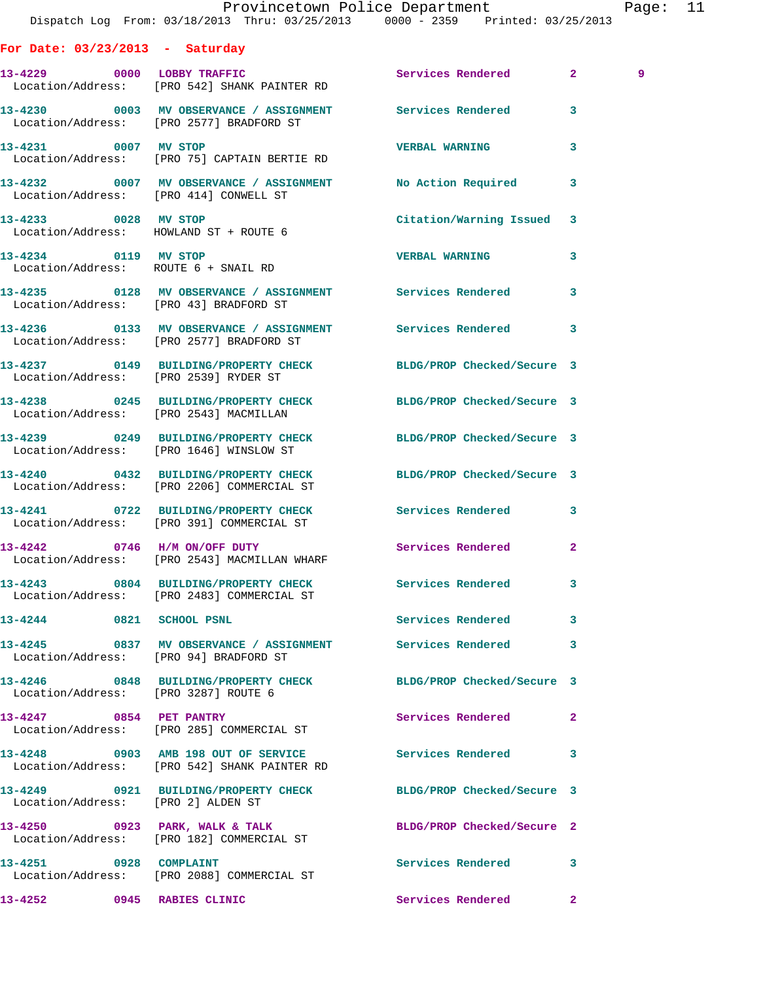|  |                        |                                                                                     | Provincetown Police Department<br>Dispatch Log From: 03/18/2013 Thru: 03/25/2013 0000 - 2359 Printed: 03/25/2013 | Page: | 11 |
|--|------------------------|-------------------------------------------------------------------------------------|------------------------------------------------------------------------------------------------------------------|-------|----|
|  |                        | For Date: $03/23/2013$ - Saturday                                                   |                                                                                                                  |       |    |
|  |                        | 13-4229 0000 LOBBY TRAFFIC<br>Location/Address: [PRO 542] SHANK PAINTER RD          | Services Rendered 2                                                                                              | 9     |    |
|  |                        | Location/Address: [PRO 2577] BRADFORD ST                                            | 13-4230 0003 MV OBSERVANCE / ASSIGNMENT Services Rendered 3                                                      |       |    |
|  |                        | 13-4231 0007 MV STOP<br>Location/Address: [PRO 75] CAPTAIN BERTIE RD                | <b>VERBAL WARNING</b><br>3                                                                                       |       |    |
|  |                        | Location/Address: [PRO 414] CONWELL ST                                              | 13-4232 0007 MV OBSERVANCE / ASSIGNMENT No Action Required 3                                                     |       |    |
|  |                        | 13-4233 0028 MV STOP<br>Location/Address: HOWLAND ST + ROUTE 6                      | Citation/Warning Issued 3                                                                                        |       |    |
|  |                        | 13-4234 0119 MV STOP<br>Location/Address: ROUTE 6 + SNAIL RD                        | <b>VERBAL WARNING</b><br>3                                                                                       |       |    |
|  |                        | Location/Address: [PRO 43] BRADFORD ST                                              | 13-4235 0128 MV OBSERVANCE / ASSIGNMENT Services Rendered 3                                                      |       |    |
|  |                        | Location/Address: [PRO 2577] BRADFORD ST                                            | 13-4236 6 0133 MV OBSERVANCE / ASSIGNMENT Services Rendered 3                                                    |       |    |
|  |                        | Location/Address: [PRO 2539] RYDER ST                                               | 13-4237 0149 BUILDING/PROPERTY CHECK BLDG/PROP Checked/Secure 3                                                  |       |    |
|  |                        | Location/Address: [PRO 2543] MACMILLAN                                              | 13-4238 0245 BUILDING/PROPERTY CHECK BLDG/PROP Checked/Secure 3                                                  |       |    |
|  |                        | Location/Address: [PRO 1646] WINSLOW ST                                             | 13-4239 0249 BUILDING/PROPERTY CHECK BLDG/PROP Checked/Secure 3                                                  |       |    |
|  |                        | 13-4240 0432 BUILDING/PROPERTY CHECK<br>Location/Address: [PRO 2206] COMMERCIAL ST  | BLDG/PROP Checked/Secure 3                                                                                       |       |    |
|  |                        | Location/Address: [PRO 391] COMMERCIAL ST                                           | 13-4241 0722 BUILDING/PROPERTY CHECK Services Rendered 3                                                         |       |    |
|  |                        | 13-4242 0746 H/M ON/OFF DUTY<br>Location/Address: [PRO 2543] MACMILLAN WHARF        | Services Rendered<br>$\mathbf{2}$                                                                                |       |    |
|  |                        | Location/Address: [PRO 2483] COMMERCIAL ST                                          | 13-4243 0804 BUILDING/PROPERTY CHECK Services Rendered 3                                                         |       |    |
|  |                        | 13-4244 0821 SCHOOL PSNL                                                            | Services Rendered 3                                                                                              |       |    |
|  |                        | Location/Address: [PRO 94] BRADFORD ST                                              | 13-4245 0837 MV OBSERVANCE / ASSIGNMENT Services Rendered<br>3                                                   |       |    |
|  |                        | Location/Address: [PRO 3287] ROUTE 6                                                | 13-4246 0848 BUILDING/PROPERTY CHECK BLDG/PROP Checked/Secure 3                                                  |       |    |
|  |                        | 13-4247 0854 PET PANTRY<br>Location/Address: [PRO 285] COMMERCIAL ST                | Services Rendered 2                                                                                              |       |    |
|  |                        | 13-4248 0903 AMB 198 OUT OF SERVICE<br>Location/Address: [PRO 542] SHANK PAINTER RD | Services Rendered 3                                                                                              |       |    |
|  |                        | Location/Address: [PRO 2] ALDEN ST                                                  | 13-4249 0921 BUILDING/PROPERTY CHECK BLDG/PROP Checked/Secure 3                                                  |       |    |
|  |                        | $13-4250$ 0923 PARK, WALK & TALK<br>Location/Address: [PRO 182] COMMERCIAL ST       | BLDG/PROP Checked/Secure 2                                                                                       |       |    |
|  | 13-4251 0928 COMPLAINT | Location/Address: [PRO 2088] COMMERCIAL ST                                          | Services Rendered 3                                                                                              |       |    |

**13-4252 0945 RABIES CLINIC Services Rendered 2**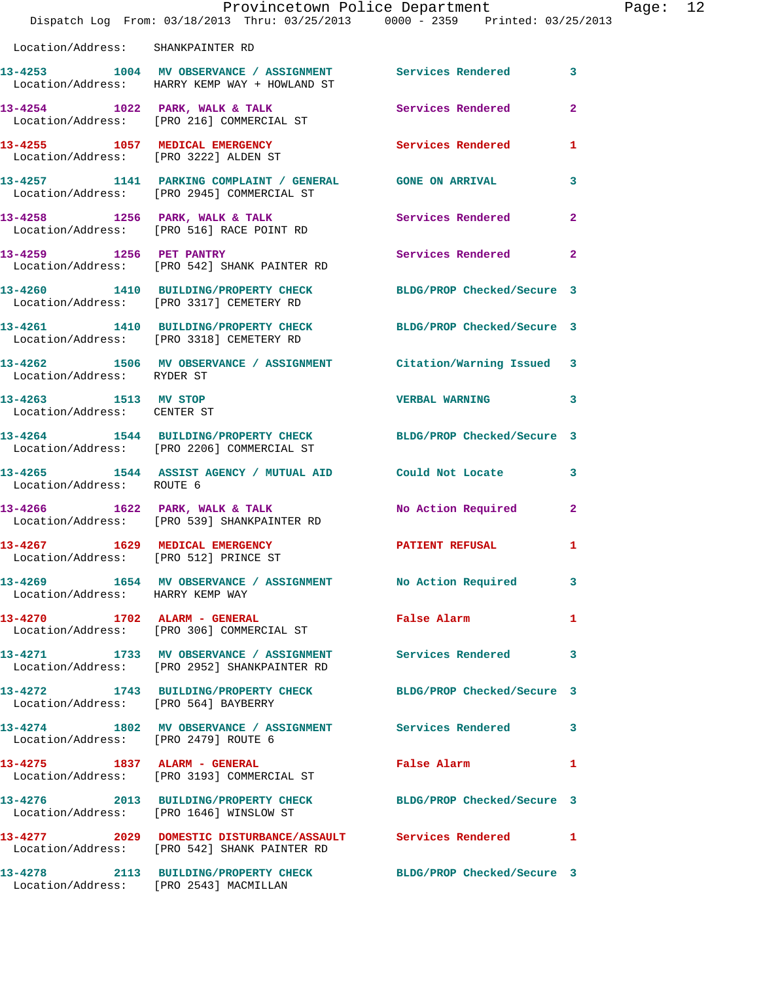|                                                     | Dispatch Log From: 03/18/2013 Thru: 03/25/2013 0000 - 2359 Printed: 03/25/2013                                | Provincetown Police Department | Page: 12       |
|-----------------------------------------------------|---------------------------------------------------------------------------------------------------------------|--------------------------------|----------------|
| Location/Address: SHANKPAINTER RD                   |                                                                                                               |                                |                |
|                                                     | 13-4253 1004 MV OBSERVANCE / ASSIGNMENT Services Rendered<br>Location/Address: HARRY KEMP WAY + HOWLAND ST    |                                | 3              |
|                                                     | 13-4254 1022 PARK, WALK & TALK 3 Services Rendered<br>Location/Address: [PRO 216] COMMERCIAL ST               |                                | $\overline{2}$ |
|                                                     | 13-4255 1057 MEDICAL EMERGENCY<br>Location/Address: [PRO 3222] ALDEN ST                                       | <b>Services Rendered</b>       | 1              |
|                                                     | 13-4257 1141 PARKING COMPLAINT / GENERAL GONE ON ARRIVAL<br>Location/Address: [PRO 2945] COMMERCIAL ST        |                                | 3              |
|                                                     |                                                                                                               | Services Rendered              | $\mathbf{2}$   |
|                                                     | 13-4259 1256 PET PANTRY<br>Location/Address: [PRO 542] SHANK PAINTER RD                                       | Services Rendered              | $\mathbf{2}$   |
|                                                     | 13-4260 1410 BUILDING/PROPERTY CHECK<br>Location/Address: [PRO 3317] CEMETERY RD                              | BLDG/PROP Checked/Secure 3     |                |
|                                                     | 13-4261 1410 BUILDING/PROPERTY CHECK BLDG/PROP Checked/Secure 3<br>Location/Address: [PRO 3318] CEMETERY RD   |                                |                |
| Location/Address: RYDER ST                          | 13-4262 1506 MV OBSERVANCE / ASSIGNMENT Citation/Warning Issued 3                                             |                                |                |
| 13-4263 1513 MV STOP<br>Location/Address: CENTER ST |                                                                                                               | <b>VERBAL WARNING</b>          | 3              |
|                                                     | 13-4264 1544 BUILDING/PROPERTY CHECK BLDG/PROP Checked/Secure 3<br>Location/Address: [PRO 2206] COMMERCIAL ST |                                |                |
| Location/Address: ROUTE 6                           | 13-4265 1544 ASSIST AGENCY / MUTUAL AID Could Not Locate                                                      |                                | 3              |
|                                                     | 13-4266 1622 PARK, WALK & TALK<br>Location/Address: [PRO 539] SHANKPAINTER RD                                 | No Action Required             | $\mathbf{2}$   |
| 13-4267<br>Location/Address: [PRO 512] PRINCE ST    | 1629 MEDICAL EMERGENCY                                                                                        | <b>PATIENT REFUSAL</b>         | $\mathbf{I}$   |
| Location/Address: HARRY KEMP WAY                    | 13-4269 1654 MV OBSERVANCE / ASSIGNMENT No Action Required                                                    |                                | 3              |
|                                                     | 13-4270 1702 ALARM - GENERAL<br>Location/Address: [PRO 306] COMMERCIAL ST                                     | False Alarm <b>Example 2</b>   | 1              |
|                                                     | 13-4271   1733 MV OBSERVANCE / ASSIGNMENT   Services Rendered<br>Location/Address: [PRO 2952] SHANKPAINTER RD |                                | 3              |
| Location/Address: [PRO 564] BAYBERRY                | 13-4272 1743 BUILDING/PROPERTY CHECK BLDG/PROP Checked/Secure 3                                               |                                |                |
| Location/Address: [PRO 2479] ROUTE 6                | 13-4274 1802 MV OBSERVANCE / ASSIGNMENT Services Rendered                                                     |                                | 3              |
|                                                     | 13-4275 1837 ALARM - GENERAL<br>Location/Address: [PRO 3193] COMMERCIAL ST                                    | False Alarm                    | 1              |
|                                                     | 13-4276 2013 BUILDING/PROPERTY CHECK BLDG/PROP Checked/Secure 3<br>Location/Address: [PRO 1646] WINSLOW ST    |                                |                |
|                                                     | 13-4277 2029 DOMESTIC DISTURBANCE/ASSAULT Services Rendered<br>Location/Address: [PRO 542] SHANK PAINTER RD   |                                | -1             |
|                                                     | 13-4278 2113 BUILDING/PROPERTY CHECK BLDG/PROP Checked/Secure 3                                               |                                |                |

Location/Address: [PRO 2543] MACMILLAN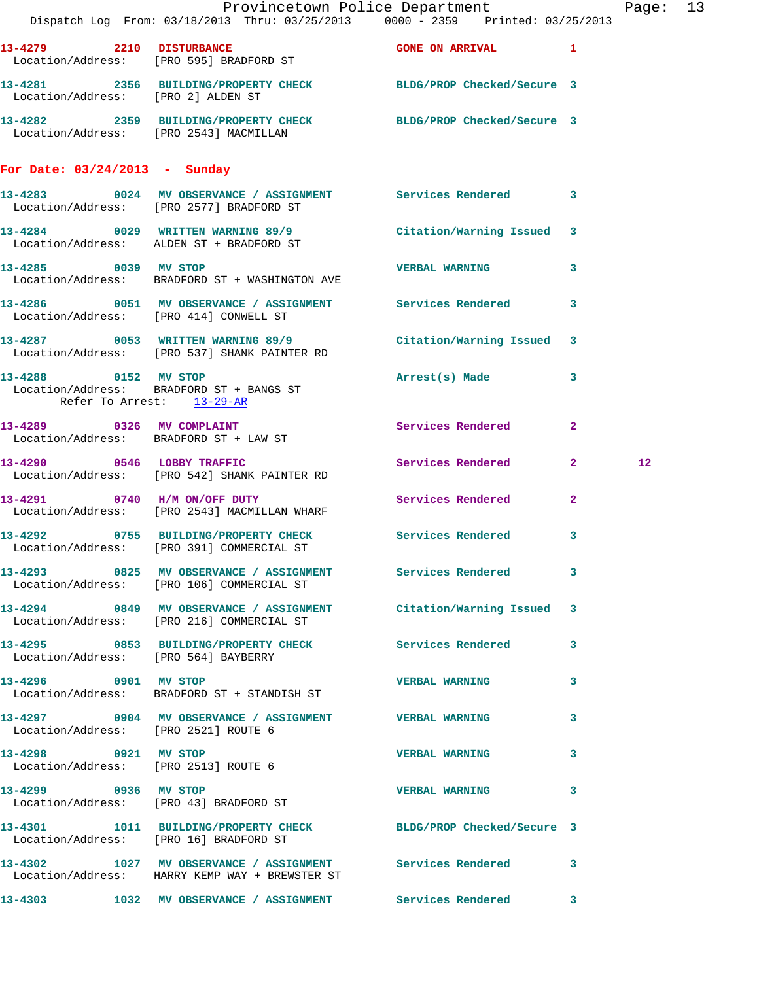|                                                              |                                                                              | Provincetown Police Department                                                                                    | Page: 13        |  |
|--------------------------------------------------------------|------------------------------------------------------------------------------|-------------------------------------------------------------------------------------------------------------------|-----------------|--|
|                                                              |                                                                              | Dispatch Log From: 03/18/2013 Thru: 03/25/2013 0000 - 2359 Printed: 03/25/2013                                    |                 |  |
|                                                              | 13-4279 2210 DISTURBANCE<br>Location/Address: [PRO 595] BRADFORD ST          | GONE ON ARRIVAL 1                                                                                                 |                 |  |
|                                                              | Location/Address: [PRO 2] ALDEN ST                                           | 13-4281 2356 BUILDING/PROPERTY CHECK BLDG/PROP Checked/Secure 3                                                   |                 |  |
|                                                              |                                                                              | 13-4282 2359 BUILDING/PROPERTY CHECK BLDG/PROP Checked/Secure 3<br>Location/Address: [PRO 2543] MACMILLAN         |                 |  |
| For Date: $03/24/2013$ - Sunday                              |                                                                              |                                                                                                                   |                 |  |
|                                                              |                                                                              | 13-4283 0024 MV OBSERVANCE / ASSIGNMENT Services Rendered 3<br>Location/Address: [PRO 2577] BRADFORD ST           |                 |  |
|                                                              | Location/Address: ALDEN ST + BRADFORD ST                                     | 13-4284 0029 WRITTEN WARNING 89/9 Citation/Warning Issued 3                                                       |                 |  |
|                                                              | 13-4285 0039 MV STOP<br>Location/Address: BRADFORD ST + WASHINGTON AVE       | VERBAL WARNING 3                                                                                                  |                 |  |
|                                                              | Location/Address: [PRO 414] CONWELL ST                                       | 13-4286 0051 MV OBSERVANCE / ASSIGNMENT Services Rendered 3                                                       |                 |  |
|                                                              | Location/Address: [PRO 537] SHANK PAINTER RD                                 | 13-4287 0053 WRITTEN WARNING 89/9 Citation/Warning Issued 3                                                       |                 |  |
| Refer To Arrest: 13-29-AR                                    | 13-4288 0152 MV STOP<br>Location/Address: BRADFORD ST + BANGS ST             | Arrest(s) Made 3                                                                                                  |                 |  |
|                                                              | 13-4289 0326 MV COMPLAINT<br>Location/Address: BRADFORD ST + LAW ST          | Services Rendered 2                                                                                               |                 |  |
|                                                              | 13-4290 0546 LOBBY TRAFFIC<br>Location/Address: [PRO 542] SHANK PAINTER RD   | Services Rendered 2                                                                                               | 12 <sub>1</sub> |  |
|                                                              | 13-4291 0740 H/M ON/OFF DUTY<br>Location/Address: [PRO 2543] MACMILLAN WHARF | Services Rendered<br>$\mathbf{2}$                                                                                 |                 |  |
|                                                              | Location/Address: [PRO 391] COMMERCIAL ST                                    | 13-4292 0755 BUILDING/PROPERTY CHECK Services Rendered 3                                                          |                 |  |
|                                                              | Location/Address: [PRO 106] COMMERCIAL ST                                    | 13-4293 0825 MV OBSERVANCE / ASSIGNMENT Services Rendered 3                                                       |                 |  |
|                                                              | Location/Address: [PRO 216] COMMERCIAL ST                                    | 13-4294 0849 MV OBSERVANCE / ASSIGNMENT Citation/Warning Issued 3                                                 |                 |  |
|                                                              | Location/Address: [PRO 564] BAYBERRY                                         | 13-4295 0853 BUILDING/PROPERTY CHECK Services Rendered 3                                                          |                 |  |
|                                                              | 13-4296 0901 MV STOP<br>Location/Address: BRADFORD ST + STANDISH ST          | <b>VERBAL WARNING</b><br>3                                                                                        |                 |  |
| Location/Address: [PRO 2521] ROUTE 6                         | 13-4297 0904 MV OBSERVANCE / ASSIGNMENT VERBAL WARNING                       | 3                                                                                                                 |                 |  |
| 13-4298 0921 MV STOP<br>Location/Address: [PRO 2513] ROUTE 6 |                                                                              | <b>VERBAL WARNING</b><br>3                                                                                        |                 |  |
| 13-4299 0936 MV STOP                                         | Location/Address: [PRO 43] BRADFORD ST                                       | VERBAL WARNING 3                                                                                                  |                 |  |
|                                                              |                                                                              | 13-4301   1011   BUILDING/PROPERTY CHECK   BLDG/PROP Checked/Secure   3<br>Location/Address: [PRO 16] BRADFORD ST |                 |  |
|                                                              | Location/Address: HARRY KEMP WAY + BREWSTER ST                               | 13-4302 1027 MV OBSERVANCE / ASSIGNMENT Services Rendered 3                                                       |                 |  |
|                                                              |                                                                              | 13-4303 1032 MV OBSERVANCE / ASSIGNMENT Services Rendered 3                                                       |                 |  |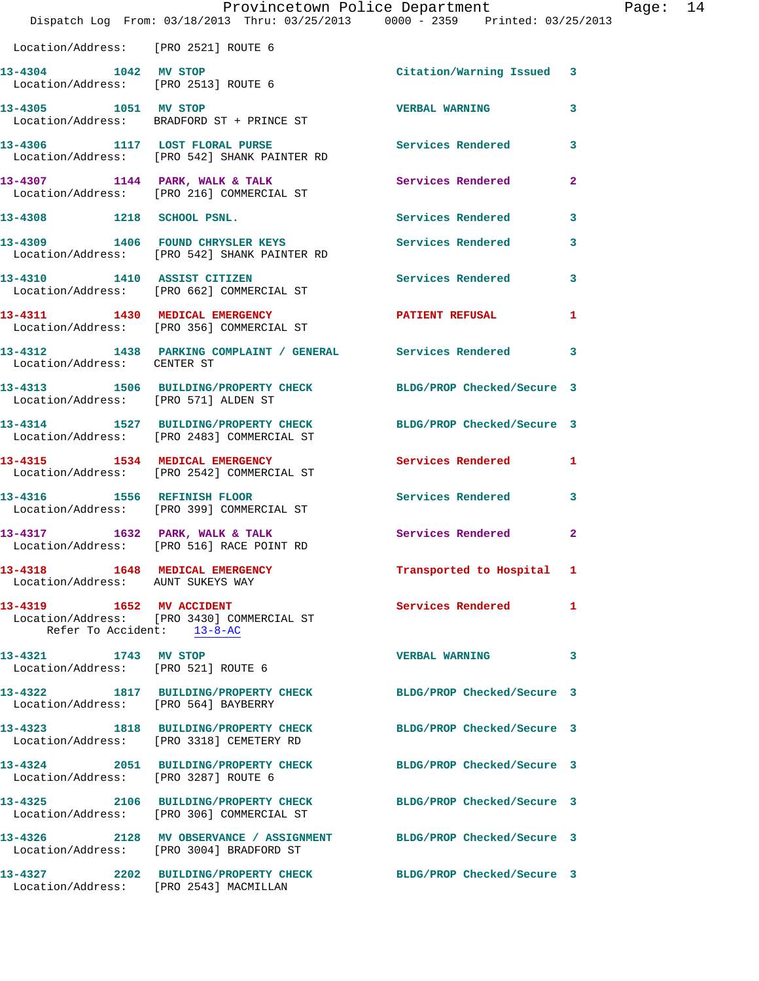|                                                             | Dispatch Log From: 03/18/2013 Thru: 03/25/2013 0000 - 2359 Printed: 03/25/2013                                 | Provincetown Police Department Page: 14 |              |  |
|-------------------------------------------------------------|----------------------------------------------------------------------------------------------------------------|-----------------------------------------|--------------|--|
| Location/Address: [PRO 2521] ROUTE 6                        |                                                                                                                |                                         |              |  |
| 13-4304 1042 MV STOP                                        | Location/Address: [PRO 2513] ROUTE 6                                                                           | Citation/Warning Issued 3               |              |  |
|                                                             | 13-4305 1051 MV STOP<br>Location/Address: BRADFORD ST + PRINCE ST                                              | <b>VERBAL WARNING</b>                   | 3            |  |
|                                                             | 13-4306 1117 LOST FLORAL PURSE Services Rendered<br>Location/Address: [PRO 542] SHANK PAINTER RD               |                                         | $\mathbf{3}$ |  |
|                                                             | 13-4307 1144 PARK, WALK & TALK 1988 Services Rendered<br>Location/Address: [PRO 216] COMMERCIAL ST             |                                         | $\mathbf{2}$ |  |
|                                                             | 13-4308 1218 SCHOOL PSNL.                                                                                      | Services Rendered                       | 3            |  |
|                                                             | 13-4309 1406 FOUND CHRYSLER KEYS<br>Location/Address: [PRO 542] SHANK PAINTER RD                               | <b>Services Rendered</b>                | 3            |  |
|                                                             | 13-4310 1410 ASSIST CITIZEN<br>Location/Address: [PRO 662] COMMERCIAL ST                                       | Services Rendered 3                     |              |  |
|                                                             | 13-4311 1430 MEDICAL EMERGENCY PATIENT REFUSAL<br>Location/Address: [PRO 356] COMMERCIAL ST                    |                                         | 1            |  |
| Location/Address: CENTER ST                                 | 13-4312 1438 PARKING COMPLAINT / GENERAL Services Rendered 3                                                   |                                         |              |  |
|                                                             | 13-4313 1506 BUILDING/PROPERTY CHECK BLDG/PROP Checked/Secure 3<br>Location/Address: [PRO 571] ALDEN ST        |                                         |              |  |
|                                                             | 13-4314 1527 BUILDING/PROPERTY CHECK BLDG/PROP Checked/Secure 3<br>Location/Address: [PRO 2483] COMMERCIAL ST  |                                         |              |  |
|                                                             | 13-4315 1534 MEDICAL EMERGENCY<br>Location/Address: [PRO 2542] COMMERCIAL ST                                   | Services Rendered 1                     |              |  |
|                                                             | 13-4316 1556 REFINISH FLOOR<br>Location/Address: [PRO 399] COMMERCIAL ST                                       | <b>Services Rendered</b>                | 3            |  |
|                                                             | 13-4317 1632 PARK, WALK & TALK<br>Location/Address: [PRO 516] RACE POINT RD                                    | Services Rendered                       | $\mathbf{2}$ |  |
| Location/Address: AUNT SUKEYS WAY                           | 13-4318 1648 MEDICAL EMERGENCY                                                                                 | Transported to Hospital 1               |              |  |
| Refer To Accident: 13-8-AC                                  | 13-4319 1652 MV ACCIDENT<br>Location/Address: [PRO 3430] COMMERCIAL ST                                         | Services Rendered 1                     |              |  |
| 13-4321 1743 MV STOP<br>Location/Address: [PRO 521] ROUTE 6 |                                                                                                                | <b>VERBAL WARNING</b>                   | 3            |  |
|                                                             | 13-4322 1817 BUILDING/PROPERTY CHECK BLDG/PROP Checked/Secure 3<br>Location/Address: [PRO 564] BAYBERRY        |                                         |              |  |
|                                                             | 13-4323 1818 BUILDING/PROPERTY CHECK BLDG/PROP Checked/Secure 3<br>Location/Address: [PRO 3318] CEMETERY RD    |                                         |              |  |
| Location/Address: [PRO 3287] ROUTE 6                        | 13-4324 2051 BUILDING/PROPERTY CHECK BLDG/PROP Checked/Secure 3                                                |                                         |              |  |
|                                                             | 13-4325 2106 BUILDING/PROPERTY CHECK BLDG/PROP Checked/Secure 3<br>Location/Address: [PRO 306] COMMERCIAL ST   |                                         |              |  |
|                                                             | 13-4326 2128 MV OBSERVANCE / ASSIGNMENT BLDG/PROP Checked/Secure 3<br>Location/Address: [PRO 3004] BRADFORD ST |                                         |              |  |
| Location/Address: [PRO 2543] MACMILLAN                      | 13-4327 2202 BUILDING/PROPERTY CHECK BLDG/PROP Checked/Secure 3                                                |                                         |              |  |